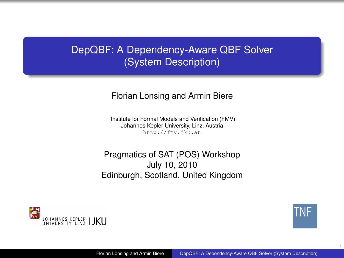# DepQBF: A Dependency-Aware QBF Solver (System Description)

#### Florian Lonsing and Armin Biere

Institute for Formal Models and Verification (FMV) Johannes Kepler University, Linz, Austria <http://fmv.jku.at>

Pragmatics of SAT (POS) Workshop July 10, 2010 Edinburgh, Scotland, United Kingdom



<span id="page-0-0"></span>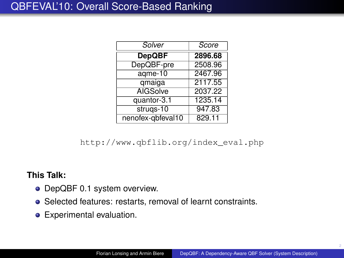| Solver            | Score   |
|-------------------|---------|
| <b>DepQBF</b>     | 2896.68 |
| DepQBF-pre        | 2508.96 |
| agme-10           | 2467.96 |
| qmaiga            | 2117.55 |
| <b>AIGSolve</b>   | 2037.22 |
| quantor-3.1       | 1235.14 |
| strugs-10         | 947.83  |
| nenofex-qbfeval10 | 829.11  |

[http://www.qbflib.org/index\\_eval.php](http://www.qbflib.org/index_eval.php)

## **This Talk:**

- DepQBF 0.1 system overview.
- Selected features: restarts, removal of learnt constraints.
- **•** Experimental evaluation.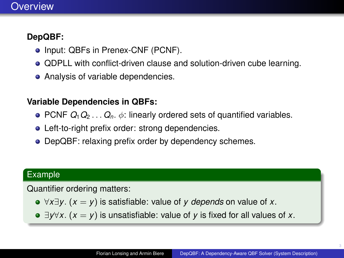# **Overview**

# **DepQBF:**

- Input: QBFs in Prenex-CNF (PCNF).
- QDPLL with conflict-driven clause and solution-driven cube learning.
- Analysis of variable dependencies.

## **Variable Dependencies in QBFs:**

- PCNF  $Q_1Q_2 \ldots Q_n$ .  $\phi$ : linearly ordered sets of quantified variables.
- Left-to-right prefix order: strong dependencies.
- DepQBF: relaxing prefix order by dependency schemes.

## Example

Quantifier ordering matters:

- ∀*x*∃*y*. (*x* = *y*) is satisfiable: value of *y depends* on value of *x*.
- ∃*y*∀*x*. (*x* = *y*) is unsatisfiable: value of *y* is fixed for all values of *x*.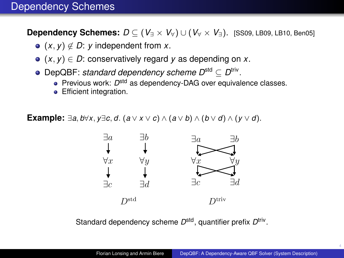**Dependency Schemes:**  $D \subseteq (V_$  ×  $V_$ <sup>V</sup> $)$  ∪ ( $V_$  ×  $V_$ <sup>3</sup>). [\[SS09,](#page-38-1) [LB09,](#page-37-0) [LB10,](#page-37-1) [Ben05\]](#page-35-0)

- $\bullet$  (*x*, *y*)  $\notin$  *D*: *y* independent from *x*.
- $\bullet$   $(x, y) \in D$ : conservatively regard *y* as depending on *x*.
- DepQBF: *standard dependency scheme D*<sup>std</sup> ⊆ D<sup>triv</sup>.
	- **Previous work: D<sup>std</sup> as dependency-DAG over equivalence classes.**
	- **•** Efficient integration.

**Example:** ∃*a*, *b*∀*x*, *y*∃*c*, *d*. (*a* ∨ *x* ∨ *c*) ∧ (*a* ∨ *b*) ∧ (*b* ∨ *d*) ∧ (*y* ∨ *d*).



Standard dependency scheme D<sup>std</sup>, quantifier prefix D<sup>triv</sup>.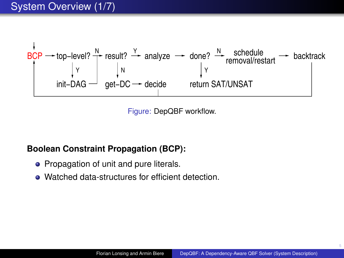

Figure: DepQBF workflow.

### **Boolean Constraint Propagation (BCP):**

- Propagation of unit and pure literals.
- **.** Watched data-structures for efficient detection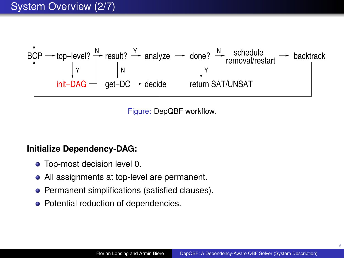

Figure: DepQBF workflow.

#### **Initialize Dependency-DAG:**

- **•** Top-most decision level 0.
- All assignments at top-level are permanent.
- **•** Permanent simplifications (satisfied clauses).
- Potential reduction of dependencies.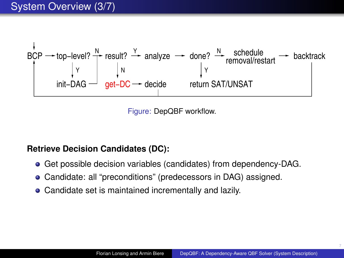

Figure: DepQBF workflow.

## **Retrieve Decision Candidates (DC):**

- Get possible decision variables (candidates) from dependency-DAG.
- Candidate: all "preconditions" (predecessors in DAG) assigned.
- Candidate set is maintained incrementally and lazily.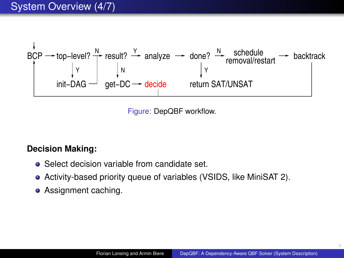

Figure: DepQBF workflow.

### **Decision Making:**

- Select decision variable from candidate set.
- Activity-based priority queue of variables (VSIDS, like MiniSAT 2).
- Assignment caching.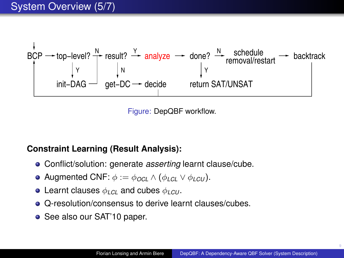

Figure: DepQBF workflow.

## **Constraint Learning (Result Analysis):**

- Conflict/solution: generate *asserting* learnt clause/cube.
- **Augmented CNF:**  $\phi := \phi_{OC} \wedge (\phi_{IC}) \vee \phi_{ICU}$ .
- Learnt clauses φ*LCL* and cubes φ*LCU* .
- **Q-resolution/consensus to derive learnt clauses/cubes.**
- See also our SAT'10 paper.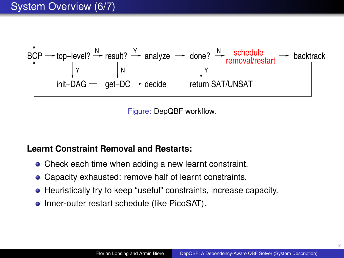

Figure: DepQBF workflow.

### **Learnt Constraint Removal and Restarts:**

- Check each time when adding a new learnt constraint.
- Capacity exhausted: remove half of learnt constraints.
- Heuristically try to keep "useful" constraints, increase capacity.
- Inner-outer restart schedule (like PicoSAT).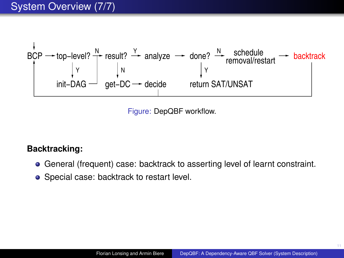

Figure: DepQBF workflow.

#### **Backtracking:**

- General (frequent) case: backtrack to asserting level of learnt constraint.
- Special case: backtrack to restart level.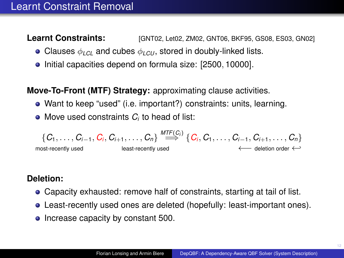**Learnt Constraints: [\[GNT02,](#page-36-0) [Let02,](#page-37-2) [ZM02,](#page-38-2) [GNT06,](#page-36-1) [BKF95,](#page-35-1) [GS08,](#page-37-3) [ES03,](#page-35-2) [GN02\]](#page-36-2)** 

- Clauses  $\phi_{LC}$  and cubes  $\phi_{LCU}$ , stored in doubly-linked lists.
- Initial capacities depend on formula size: [2500, 10000].

**Move-To-Front (MTF) Strategy:** approximating clause activities.

- Want to keep "used" (i.e. important?) constraints: units, learning.
- Move used constraints  $C_i$  to head of list:

$$
\{C_1,\ldots,C_{i-1},C_i,C_{i+1},\ldots,C_n\}\stackrel{\textit{MTF}(C_i)}{\Longrightarrow}\{C_i,C_1,\ldots,C_{i-1},C_{i+1},\ldots,C_n\}\atop{\longleftarrow}\text{deletion order}\leftarrow
$$

# **Deletion:**

- Capacity exhausted: remove half of constraints, starting at tail of list.
- Least-recently used ones are deleted (hopefully: least-important ones).
- Increase capacity by constant 500.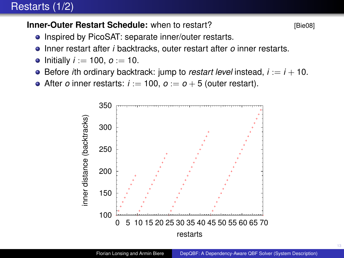# Restarts (1/2)

## **Inner-Outer Restart Schedule:** when to restart?

$$
[Bie08]
$$

- Inspired by PicoSAT: separate inner/outer restarts.
- Inner restart after *i* backtracks, outer restart after *o* inner restarts.
- Initially  $i := 100$ ,  $o := 10$ .
- $\bullet$  Before *i*th ordinary backtrack: jump to *restart level* instead,  $i := i + 10$ .
- After *o* inner restarts:  $i := 100$ ,  $o := o + 5$  (outer restart).

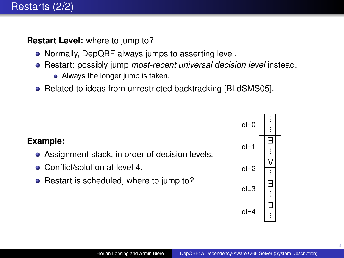- Normally, DepQBF always jumps to asserting level.
- Restart: possibly jump *most-recent universal decision level* instead.
	- Always the longer jump is taken.
- Related to ideas from unrestricted backtracking [\[BLdSMS05\]](#page-35-4).

- Assignment stack, in order of decision levels.
- Conflict/solution at level 4.
- Restart is scheduled, where to jump to?

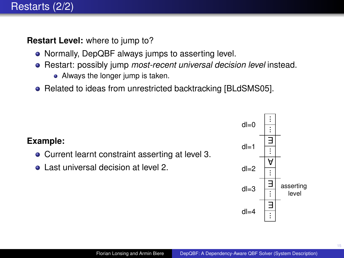- Normally, DepQBF always jumps to asserting level.
- Restart: possibly jump *most-recent universal decision level* instead.
	- Always the longer jump is taken.
- Related to ideas from unrestricted backtracking [\[BLdSMS05\]](#page-35-4).

- Current learnt constraint asserting at level 3.
- Last universal decision at level 2.

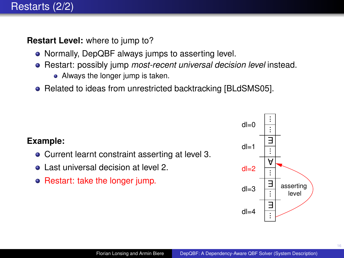- Normally, DepQBF always jumps to asserting level.
- Restart: possibly jump *most-recent universal decision level* instead.
	- Always the longer jump is taken.
- Related to ideas from unrestricted backtracking [\[BLdSMS05\]](#page-35-4).

- Current learnt constraint asserting at level 3.
- Last universal decision at level 2.
- Restart: take the longer jump.

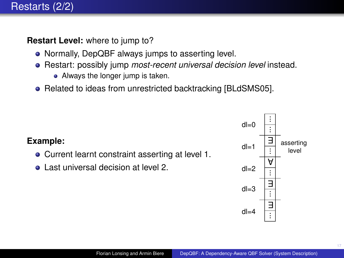- Normally, DepQBF always jumps to asserting level.
- Restart: possibly jump *most-recent universal decision level* instead.
	- Always the longer jump is taken.
- Related to ideas from unrestricted backtracking [\[BLdSMS05\]](#page-35-4).

- Current learnt constraint asserting at level 1.
- Last universal decision at level 2.

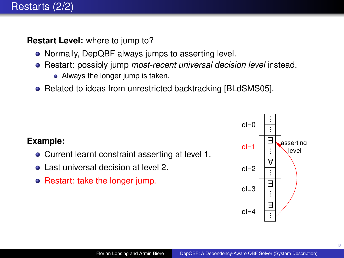- Normally, DepQBF always jumps to asserting level.
- Restart: possibly jump *most-recent universal decision level* instead.
	- Always the longer jump is taken.
- Related to ideas from unrestricted backtracking [\[BLdSMS05\]](#page-35-4).

- Current learnt constraint asserting at level 1.
- Last universal decision at level 2.
- Restart: take the longer jump.

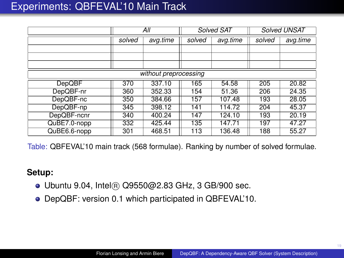|               | All    |                       | <b>Solved SAT</b> |          | <b>Solved UNSAT</b> |          |
|---------------|--------|-----------------------|-------------------|----------|---------------------|----------|
|               | solved | avg.time              | solved            | avg.time | solved              | avg.time |
|               |        |                       |                   |          |                     |          |
|               |        |                       |                   |          |                     |          |
|               |        |                       |                   |          |                     |          |
|               |        | without preprocessing |                   |          |                     |          |
| <b>DepQBF</b> | 370    | 337.10                | 165               | 54.58    | 205                 | 20.82    |
| DepQBF-nr     | 360    | 352.33                | 154               | 51.36    | 206                 | 24.35    |
| DepQBF-nc     | 350    | 384.66                | 157               | 107.48   | 193                 | 28.05    |
| DepQBF-np     | 345    | 398.12                | 141               | 114.72   | 204                 | 45.37    |
| DepQBF-ncnr   | 340    | 400.24                | 147               | 124.10   | 193                 | 20.19    |
| QuBE7.0-nopp  | 332    | 425.44                | 135               | 147.71   | 197                 | 47.27    |
| QuBE6.6-nopp  | 301    | 468.51                | 113               | 136.48   | 188                 | 55.27    |

Table: QBFEVAL'10 main track (568 formulae). Ranking by number of solved formulae.

#### **Setup:**

- Ubuntu 9.04, Intel <sup>R</sup> Q9550@2.83 GHz, 3 GB/900 sec.
- DepQBF: version 0.1 which participated in QBFEVAL'10.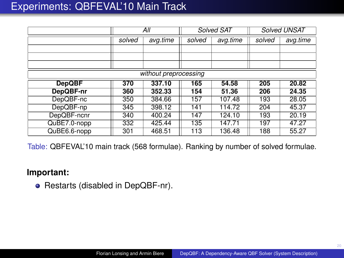|               | All    |                       | <b>Solved SAT</b> |          | <b>Solved UNSAT</b> |          |
|---------------|--------|-----------------------|-------------------|----------|---------------------|----------|
|               | solved | avg.time              | solved            | avg.time | solved              | avg.time |
|               |        |                       |                   |          |                     |          |
|               |        |                       |                   |          |                     |          |
|               |        |                       |                   |          |                     |          |
|               |        | without preprocessing |                   |          |                     |          |
| <b>DepQBF</b> | 370    | 337.10                | 165               | 54.58    | 205                 | 20.82    |
| DepQBF-nr     | 360    | 352.33                | 154               | 51.36    | 206                 | 24.35    |
| DepQBF-nc     | 350    | 384.66                | 157               | 107.48   | 193                 | 28.05    |
| DepQBF-np     | 345    | 398.12                | 141               | 114.72   | 204                 | 45.37    |
| DepQBF-ncnr   | 340    | 400.24                | 147               | 124.10   | 193                 | 20.19    |
| QuBE7.0-nopp  | 332    | 425.44                | 135               | 147.71   | 197                 | 47.27    |
| QuBE6.6-nopp  | 301    | 468.51                | 113               | 136.48   | 188                 | 55.27    |

Table: QBFEVAL'10 main track (568 formulae). Ranking by number of solved formulae.

#### **Important:**

• Restarts (disabled in DepQBF-nr).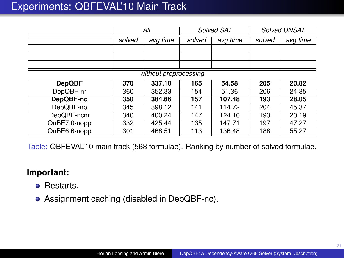|               | All    |                       | <b>Solved SAT</b> |          | <b>Solved UNSAT</b> |          |
|---------------|--------|-----------------------|-------------------|----------|---------------------|----------|
|               | solved | avg.time              | solved            | avg.time | solved              | avg.time |
|               |        |                       |                   |          |                     |          |
|               |        |                       |                   |          |                     |          |
|               |        |                       |                   |          |                     |          |
|               |        | without preprocessing |                   |          |                     |          |
| <b>DepQBF</b> | 370    | 337.10                | 165               | 54.58    | 205                 | 20.82    |
| DepQBF-nr     | 360    | 352.33                | 154               | 51.36    | 206                 | 24.35    |
| DepQBF-nc     | 350    | 384.66                | 157               | 107.48   | 193                 | 28.05    |
| DepQBF-np     | 345    | 398.12                | 141               | 114.72   | 204                 | 45.37    |
| DepQBF-ncnr   | 340    | 400.24                | 147               | 124.10   | 193                 | 20.19    |
| QuBE7.0-nopp  | 332    | 425.44                | 135               | 147.71   | 197                 | 47.27    |
| QuBE6.6-nopp  | 301    | 468.51                | 113               | 136.48   | 188                 | 55.27    |

Table: QBFEVAL'10 main track (568 formulae). Ranking by number of solved formulae.

- Restarts.
- Assignment caching (disabled in DepQBF-nc).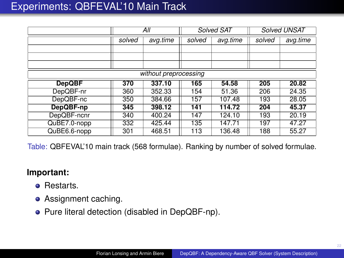|               | All    |                       | <b>Solved SAT</b> |          | <b>Solved UNSAT</b> |          |
|---------------|--------|-----------------------|-------------------|----------|---------------------|----------|
|               | solved | avg.time              | solved            | avg.time | solved              | avg.time |
|               |        |                       |                   |          |                     |          |
|               |        |                       |                   |          |                     |          |
|               |        |                       |                   |          |                     |          |
|               |        | without preprocessing |                   |          |                     |          |
| <b>DepQBF</b> | 370    | 337.10                | 165               | 54.58    | 205                 | 20.82    |
| DepQBF-nr     | 360    | 352.33                | 154               | 51.36    | 206                 | 24.35    |
| DepQBF-nc     | 350    | 384.66                | 157               | 107.48   | 193                 | 28.05    |
| DepQBF-np     | 345    | 398.12                | 141               | 114.72   | 204                 | 45.37    |
| DepQBF-ncnr   | 340    | 400.24                | 147               | 124.10   | 193                 | 20.19    |
| QuBE7.0-nopp  | 332    | 425.44                | 135               | 147.71   | 197                 | 47.27    |
| QuBE6.6-nopp  | 301    | 468.51                | 113               | 136.48   | 188                 | 55.27    |

Table: QBFEVAL'10 main track (568 formulae). Ranking by number of solved formulae.

- Restarts.
- Assignment caching.
- Pure literal detection (disabled in DepQBF-np).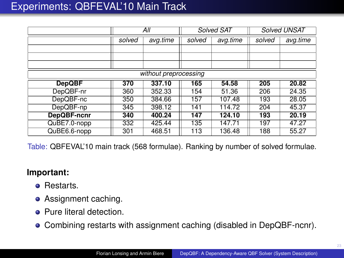|               | All    |                       | <b>Solved SAT</b> |          | <b>Solved UNSAT</b> |          |
|---------------|--------|-----------------------|-------------------|----------|---------------------|----------|
|               | solved | avg.time              | solved            | avg.time | solved              | avg.time |
|               |        |                       |                   |          |                     |          |
|               |        |                       |                   |          |                     |          |
|               |        |                       |                   |          |                     |          |
|               |        | without preprocessing |                   |          |                     |          |
| <b>DepQBF</b> | 370    | 337.10                | 165               | 54.58    | 205                 | 20.82    |
| DepQBF-nr     | 360    | 352.33                | 154               | 51.36    | 206                 | 24.35    |
| DepQBF-nc     | 350    | 384.66                | 157               | 107.48   | 193                 | 28.05    |
| DepQBF-np     | 345    | 398.12                | 141               | 114.72   | 204                 | 45.37    |
| DepQBF-ncnr   | 340    | 400.24                | 147               | 124.10   | 193                 | 20.19    |
| QuBE7.0-nopp  | 332    | 425.44                | 135               | 147.71   | 197                 | 47.27    |
| QuBE6.6-nopp  | 301    | 468.51                | 113               | 136.48   | 188                 | 55.27    |

Table: QBFEVAL'10 main track (568 formulae). Ranking by number of solved formulae.

- **e** Restarts.
- Assignment caching.
- Pure literal detection.
- Combining restarts with assignment caching (disabled in DepQBF-ncnr).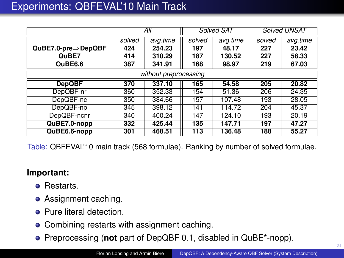|                                  | All                   |        | Solved SAT |          | <b>Solved UNSAT</b> |          |  |  |
|----------------------------------|-----------------------|--------|------------|----------|---------------------|----------|--|--|
|                                  | avg.time<br>solved    |        | solved     | avg.time | solved              | avg.time |  |  |
| $QuBE7.0-pre \Rightarrow DepQBF$ | 424                   | 254.23 | 197        | 48.17    | 227                 | 23.42    |  |  |
| QuBE7                            | 414                   | 310.29 | 187        | 130.52   | 227                 | 58.33    |  |  |
| QuBE6.6                          | 387                   | 341.91 | 168        | 98.97    | 219                 | 67.03    |  |  |
|                                  | without preprocessing |        |            |          |                     |          |  |  |
| <b>DepQBF</b>                    | 370                   | 337.10 | 165        | 54.58    | 205                 | 20.82    |  |  |
| DepQBF-nr                        | 360                   | 352.33 | 154        | 51.36    | 206                 | 24.35    |  |  |
| DepQBF-nc                        | 350                   | 384.66 | 157        | 107.48   | 193                 | 28.05    |  |  |
| DepQBF-np                        | 345                   | 398.12 | 141        | 114.72   | 204                 | 45.37    |  |  |
| DepQBF-ncnr                      | 340                   | 400.24 | 147        | 124.10   | 193                 | 20.19    |  |  |
| QuBE7.0-nopp                     | 332                   | 425.44 | 135        | 147.71   | 197                 | 47.27    |  |  |
| QuBE6.6-nopp                     | 301                   | 468.51 | 113        | 136.48   | 188                 | 55.27    |  |  |

Table: QBFEVAL'10 main track (568 formulae). Ranking by number of solved formulae.

- **e** Restarts
- Assignment caching.
- **Pure literal detection.**
- Combining restarts with assignment caching.
- Preprocessing (**not** part of DepQBF 0.1, disabled in QuBE\*-nopp).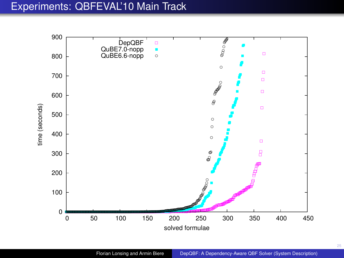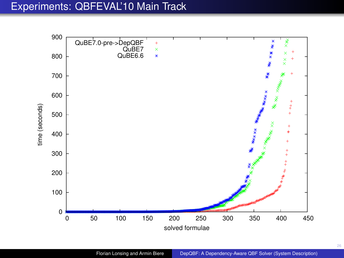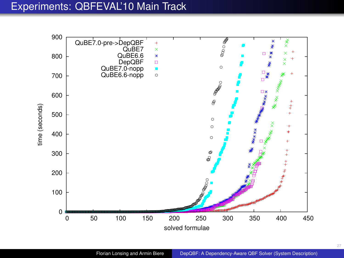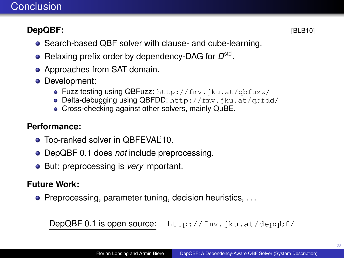# **Conclusion**

# **DepQBF:** [\[BLB10\]](#page-35-5)

- Search-based QBF solver with clause- and cube-learning.
- Relaxing prefix order by dependency-DAG for  $D<sup>std</sup>$ .
- Approaches from SAT domain.
- **•** Development:
	- **Fuzz testing using QBFuzz: http://fmv.jku.at/gbfuzz/**
	- **Delta-debugging using QBFDD:** http://fmv.jku.at/gbfdd/
	- **Cross-checking against other solvers, mainly QuBE.**

## **Performance:**

- Top-ranked solver in QBFEVAL'10.
- DepQBF 0.1 does *not* include preprocessing.
- **•** But: preprocessing is *very* important.

## **Future Work:**

 $\bullet$  Preprocessing, parameter tuning, decision heuristics, ...

DepQBF 0.1 is open source: <http://fmv.jku.at/depqbf/>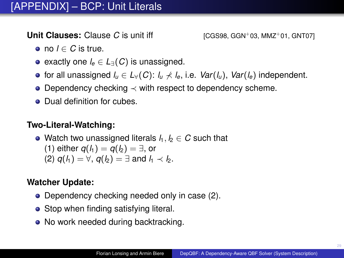**Unit Clauses:** Clause *C* is unit iff **Example 2011** [\[CGS98,](#page-35-6) [GGN](#page-36-3)+03, [MMZ](#page-38-3)+01, [GNT07\]](#page-37-4)

- $\bullet$  no *l* ∈ *C* is true.
- exactly one *l<sup>e</sup>* ∈ *L*∃(*C*) is unassigned.
- **•** for all unassigned  $l$ <sup>*u*</sup> ∈  $L$ √(*C*):  $l$ <sup>*u*</sup>  $\nless$  *l*<sub>e</sub>, i.e. *Var*( $l$ <sub>*u*</sub>), *Var*( $l$ <sub>*e*</sub>)</sub> independent.
- Dependency checking ≺ with respect to dependency scheme.
- Dual definition for cubes.

## **Two-Literal-Watching:**

• Watch two unassigned literals  $l_1, l_2 \in C$  such that (1) either  $q(l_1) = q(l_2) = ∃$ , or (2)  $q(l_1) = \forall$ ,  $q(l_2) = \exists$  and  $l_1 \prec l_2$ .

# **Watcher Update:**

- Dependency checking needed only in case (2).
- Stop when finding satisfying literal.
- No work needed during backtracking.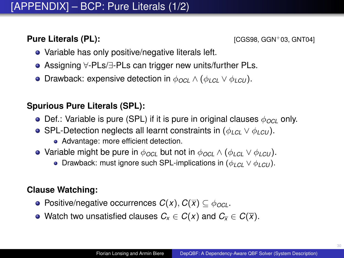**Pure Literals (PL):**  $[CGS98, GGN^+03, GNT04]$  $[CGS98, GGN^+03, GNT04]$  $[CGS98, GGN^+03, GNT04]$  $[CGS98, GGN^+03, GNT04]$ 

- Variable has only positive/negative literals left.
- Assigning ∀-PLs/∃-PLs can trigger new units/further PLs.
- Drawback: expensive detection in φ*OCL* ∧ (φ*LCL* ∨ φ*LCU* ).

## **Spurious Pure Literals (SPL):**

- **•** Def.: Variable is pure (SPL) if it is pure in original clauses  $\phi_{OCL}$  only.
- SPL-Detection neglects all learnt constraints in (φ*LCL* ∨ φ*LCU* ).
	- Advantage: more efficient detection.
- Variable might be pure in  $\phi_{OCL}$  but not in  $\phi_{OCL} \wedge (\phi_{LCL} \vee \phi_{LCU})$ .
	- **•** Drawback: must ignore such SPL-implications in  $(\phi_{LC} \lor \phi_{LCU})$ .

## **Clause Watching:**

- **•** Positive/negative occurrences  $C(x)$ ,  $C(\overline{x}) \subseteq \phi_{OCL}$ .
- Watch two unsatisfied clauses  $C_x \in C(x)$  and  $C_x \in C(\overline{x})$ .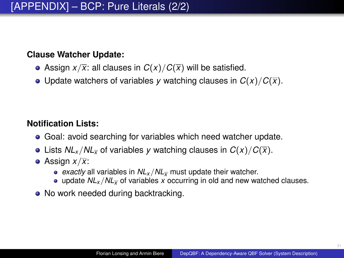#### **Clause Watcher Update:**

- Assign  $x/\overline{x}$ : all clauses in  $C(x)/C(\overline{x})$  will be satisfied.
- Update watchers of variables *y* watching clauses in  $C(x)/C(\overline{x})$ .

## **Notification Lists:**

- Goal: avoid searching for variables which need watcher update.
- Lists  $NL_x/NL_{\overline{x}}$  of variables *y* watching clauses in  $C(x)/C(\overline{x})$ .
- Assign  $x/\overline{x}$ :
	- *exactly* all variables in *NL<sup>x</sup>* /*NL<sup>x</sup>* must update their watcher.
	- $\bullet$  update  $NL_x/NL_y$  of variables x occurring in old and new watched clauses.
- No work needed during backtracking.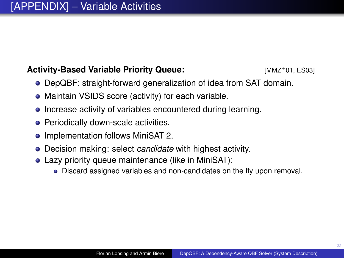# **Activity-Based Variable Priority Queue:** [\[MMZ](#page-38-3)<sup>+</sup>01, [ES03\]](#page-35-2)

- DepQBF: straight-forward generalization of idea from SAT domain.
- Maintain VSIDS score (activity) for each variable.
- Increase activity of variables encountered during learning.
- **Periodically down-scale activities.**
- Implementation follows MiniSAT 2.
- Decision making: select *candidate* with highest activity.
- Lazy priority queue maintenance (like in MiniSAT):
	- Discard assigned variables and non-candidates on the fly upon removal.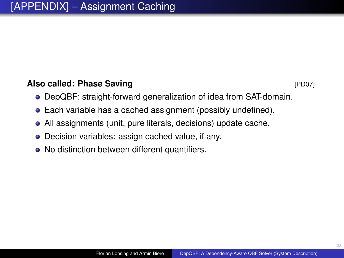## **Also called: Phase Saving CONSERVING (PD07)** [\[PD07\]](#page-38-4)

- DepQBF: straight-forward generalization of idea from SAT-domain.
- Each variable has a cached assignment (possibly undefined).
- All assignments (unit, pure literals, decisions) update cache.
- Decision variables: assign cached value, if any.
- No distinction between different quantifiers.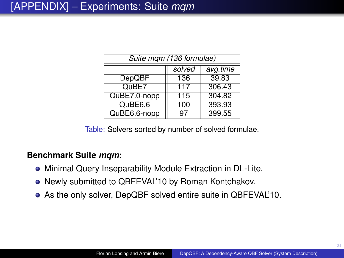| Suite mgm (136 formulae) |     |        |  |  |  |  |
|--------------------------|-----|--------|--|--|--|--|
| solved<br>avg.time       |     |        |  |  |  |  |
| <b>DepQBF</b>            | 136 | 39.83  |  |  |  |  |
| QuBE7                    | 117 | 306.43 |  |  |  |  |
| QuBE7.0-nopp             | 115 | 304.82 |  |  |  |  |
| QuBE6.6                  | 100 | 393.93 |  |  |  |  |
| QuBE6.6-nopp             | 97  | 399.55 |  |  |  |  |

Table: Solvers sorted by number of solved formulae.

#### **Benchmark Suite** *mqm***:**

- Minimal Query Inseparability Module Extraction in DL-Lite.
- Newly submitted to QBFEVAL'10 by Roman Kontchakov.
- As the only solver, DepQBF solved entire suite in QBFEVAL'10.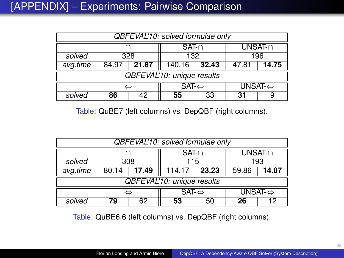| QBFEVAL'10: solved formulae only |       |            |                       |       |         |                          |  |     |
|----------------------------------|-------|------------|-----------------------|-------|---------|--------------------------|--|-----|
|                                  |       | $SAT \cap$ |                       |       | UNSAT-n |                          |  |     |
| solved                           |       | 132<br>328 |                       |       |         |                          |  | 196 |
| avg.time                         | 84.97 | 21.87      | 140.16                | 32.43 |         | 14.75                    |  |     |
| QBFEVAL'10: unique results       |       |            |                       |       |         |                          |  |     |
|                                  | ⇔     |            | $SAT \Leftrightarrow$ |       |         | UNSAT- $\Leftrightarrow$ |  |     |
| solved                           | 86    | 42         | 55                    | 33    | 31      |                          |  |     |

Table: QuBE7 (left columns) vs. DepQBF (right columns).

| QBFEVAL'10: solved formulae only  |       |            |                       |       |         |                          |  |  |
|-----------------------------------|-------|------------|-----------------------|-------|---------|--------------------------|--|--|
|                                   |       |            | $SAT-$                |       | UNSAT-n |                          |  |  |
| solved                            |       | 115<br>308 |                       |       |         | 193                      |  |  |
| avg.time                          | 80.14 | 17.49      | 114.17                | 23.23 |         | 14.07                    |  |  |
| <b>QBFEVAL'10: unique results</b> |       |            |                       |       |         |                          |  |  |
|                                   |       |            | $SAT \Leftrightarrow$ |       |         | UNSAT- $\Leftrightarrow$ |  |  |
| solved                            | 79    | 62         | 53                    | 50    | 26      | 12                       |  |  |

Table: QuBE6.6 (left columns) vs. DepQBF (right columns).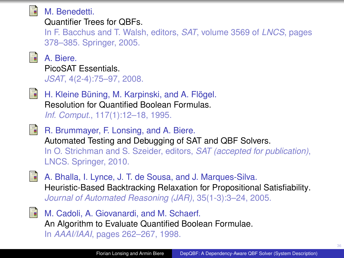<span id="page-35-0"></span>

# M. Benedetti.

Quantifier Trees for QBFs.

In F. Bacchus and T. Walsh, editors, *SAT*, volume 3569 of *LNCS*, pages 378–385. Springer, 2005.

<span id="page-35-3"></span>

A. Biere. PicoSAT Essentials.

*JSAT*, 4(2-4):75–97, 2008.

<span id="page-35-1"></span>

H. Kleine Büning, M. Karpinski, and A. Flögel. Resolution for Quantified Boolean Formulas. *Inf. Comput.*, 117(1):12–18, 1995.

<span id="page-35-5"></span>**R.** Brummayer, F. Lonsing, and A. Biere. Automated Testing and Debugging of SAT and QBF Solvers. In O. Strichman and S. Szeider, editors, *SAT (accepted for publication)*, LNCS. Springer, 2010.

<span id="page-35-4"></span>

A. Bhalla, I. Lynce, J. T. de Sousa, and J. Marques-Silva. Heuristic-Based Backtracking Relaxation for Propositional Satisfiability. *Journal of Automated Reasoning (JAR)*, 35(1-3):3–24, 2005.

<span id="page-35-6"></span>

<span id="page-35-2"></span>M. Cadoli, A. Giovanardi, and M. Schaerf. An Algorithm to Evaluate Quantified Boolean Formulae. In *AAAI/IAAI*, pages 262–267, 1998.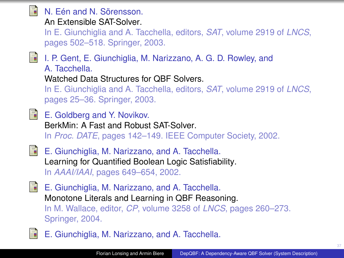<span id="page-36-3"></span><span id="page-36-2"></span>

<span id="page-36-4"></span><span id="page-36-1"></span><span id="page-36-0"></span>E. Giunchiglia, M. Narizzano, and A. Tacchella.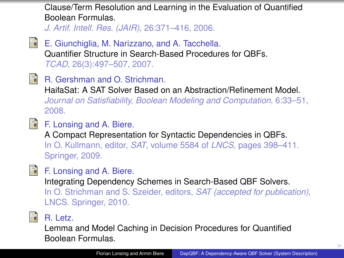Clause/Term Resolution and Learning in the Evaluation of Quantified Boolean Formulas.

*J. Artif. Intell. Res. (JAIR)*, 26:371–416, 2006.

- <span id="page-37-4"></span>靠 E. Giunchiglia, M. Narizzano, and A. Tacchella. Quantifier Structure in Search-Based Procedures for QBFs. *TCAD*, 26(3):497–507, 2007.
- <span id="page-37-3"></span>F

R. Gershman and O. Strichman.

HaifaSat: A SAT Solver Based on an Abstraction/Refinement Model. *Journal on Satisfiability, Boolean Modeling and Computation*, 6:33–51, 2008.

<span id="page-37-0"></span>

F. Lonsing and A. Biere.

A Compact Representation for Syntactic Dependencies in QBFs. In O. Kullmann, editor, *SAT*, volume 5584 of *LNCS*, pages 398–411. Springer, 2009.

<span id="page-37-1"></span>

# F. Lonsing and A. Biere.

Integrating Dependency Schemes in Search-Based QBF Solvers. In O. Strichman and S. Szeider, editors, *SAT (accepted for publication)*, LNCS. Springer, 2010.

<span id="page-37-2"></span>

# R. Letz.

Lemma and Model Caching in Decision Procedures for Quantified Boolean Formulas.